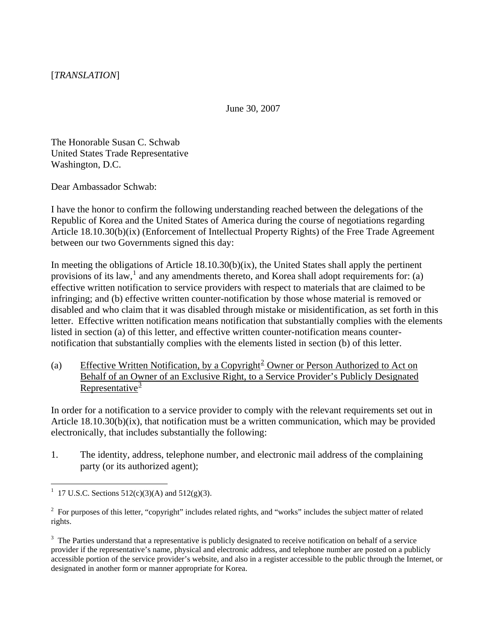June 30, 2007

The Honorable Susan C. Schwab United States Trade Representative Washington, D.C.

Dear Ambassador Schwab:

I have the honor to confirm the following understanding reached between the delegations of the Republic of Korea and the United States of America during the course of negotiations regarding Article 18.10.30(b)(ix) (Enforcement of Intellectual Property Rights) of the Free Trade Agreement between our two Governments signed this day:

In meeting the obligations of Article  $18.10.30(b)(ix)$ , the United States shall apply the pertinent provisions of its law,  $\frac{1}{2}$  $\frac{1}{2}$  $\frac{1}{2}$  and any amendments thereto, and Korea shall adopt requirements for: (a) effective written notification to service providers with respect to materials that are claimed to be infringing; and (b) effective written counter-notification by those whose material is removed or disabled and who claim that it was disabled through mistake or misidentification, as set forth in this letter. Effective written notification means notification that substantially complies with the elements listed in section (a) of this letter, and effective written counter-notification means counternotification that substantially complies with the elements listed in section (b) of this letter.

(a) Effective Written Notification, by a Copyright<sup>[2](#page-0-1)</sup> Owner or Person Authorized to Act on Behalf of an Owner of an Exclusive Right, to a Service Provider's Publicly Designated Representative $\frac{3}{2}$  $\frac{3}{2}$  $\frac{3}{2}$ 

In order for a notification to a service provider to comply with the relevant requirements set out in Article 18.10.30(b)(ix), that notification must be a written communication, which may be provided electronically, that includes substantially the following:

1. The identity, address, telephone number, and electronic mail address of the complaining party (or its authorized agent);

 $\overline{a}$ 

<span id="page-0-0"></span><sup>&</sup>lt;sup>1</sup> 17 U.S.C. Sections 512(c)(3)(A) and 512(g)(3).

<span id="page-0-1"></span> $2^2$  For purposes of this letter, "copyright" includes related rights, and "works" includes the subject matter of related rights.

<span id="page-0-2"></span> $3$  The Parties understand that a representative is publicly designated to receive notification on behalf of a service provider if the representative's name, physical and electronic address, and telephone number are posted on a publicly accessible portion of the service provider's website, and also in a register accessible to the public through the Internet, or designated in another form or manner appropriate for Korea.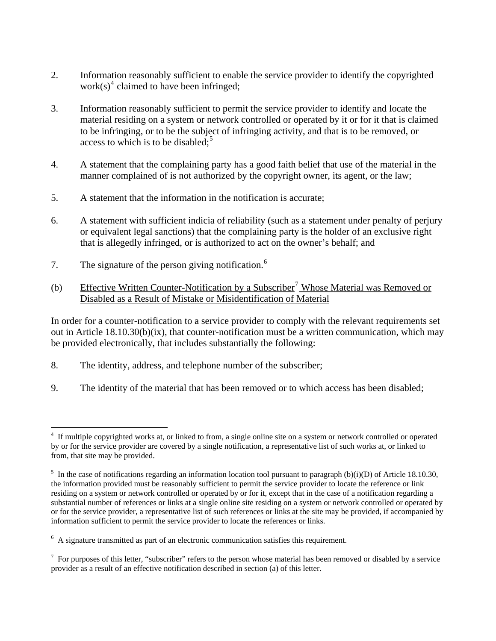- 2. Information reasonably sufficient to enable the service provider to identify the copyrighted work(s)<sup>[4](#page-1-0)</sup> claimed to have been infringed;
- 3. Information reasonably sufficient to permit the service provider to identify and locate the material residing on a system or network controlled or operated by it or for it that is claimed to be infringing, or to be the subject of infringing activity, and that is to be removed, or access to which is to be disabled; $5$
- 4. A statement that the complaining party has a good faith belief that use of the material in the manner complained of is not authorized by the copyright owner, its agent, or the law;
- 5. A statement that the information in the notification is accurate;
- 6. A statement with sufficient indicia of reliability (such as a statement under penalty of perjury or equivalent legal sanctions) that the complaining party is the holder of an exclusive right that is allegedly infringed, or is authorized to act on the owner's behalf; and
- 7. The signature of the person giving notification.<sup>[6](#page-1-2)</sup>

 $\overline{a}$ 

(b) Effective Written Counter-Notification by a Subscriber<sup>[7](#page-1-3)</sup> Whose Material was Removed or Disabled as a Result of Mistake or Misidentification of Material

In order for a counter-notification to a service provider to comply with the relevant requirements set out in Article 18.10.30(b)(ix), that counter-notification must be a written communication, which may be provided electronically, that includes substantially the following:

- 8. The identity, address, and telephone number of the subscriber;
- 9. The identity of the material that has been removed or to which access has been disabled;

<span id="page-1-0"></span><sup>4</sup> If multiple copyrighted works at, or linked to from, a single online site on a system or network controlled or operated by or for the service provider are covered by a single notification, a representative list of such works at, or linked to from, that site may be provided.

<span id="page-1-1"></span><sup>&</sup>lt;sup>5</sup> In the case of notifications regarding an information location tool pursuant to paragraph (b)(i)(D) of Article 18.10.30, the information provided must be reasonably sufficient to permit the service provider to locate the reference or link residing on a system or network controlled or operated by or for it, except that in the case of a notification regarding a substantial number of references or links at a single online site residing on a system or network controlled or operated by or for the service provider, a representative list of such references or links at the site may be provided, if accompanied by information sufficient to permit the service provider to locate the references or links.

<span id="page-1-2"></span><sup>&</sup>lt;sup>6</sup> A signature transmitted as part of an electronic communication satisfies this requirement.

<span id="page-1-3"></span> $<sup>7</sup>$  For purposes of this letter, "subscriber" refers to the person whose material has been removed or disabled by a service</sup> provider as a result of an effective notification described in section (a) of this letter.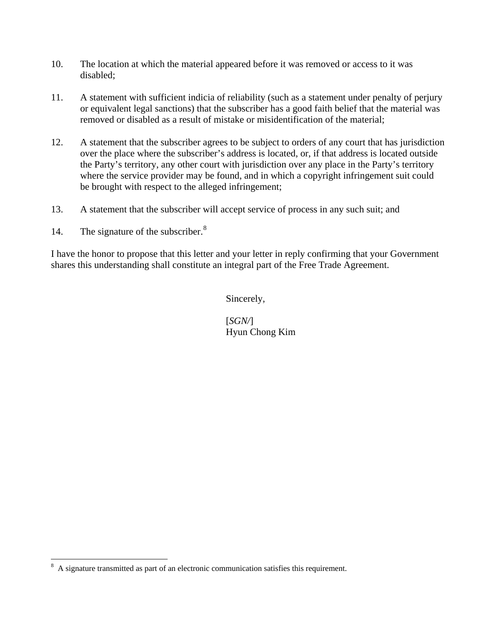- 10. The location at which the material appeared before it was removed or access to it was disabled;
- 11. A statement with sufficient indicia of reliability (such as a statement under penalty of perjury or equivalent legal sanctions) that the subscriber has a good faith belief that the material was removed or disabled as a result of mistake or misidentification of the material;
- 12. A statement that the subscriber agrees to be subject to orders of any court that has jurisdiction over the place where the subscriber's address is located, or, if that address is located outside the Party's territory, any other court with jurisdiction over any place in the Party's territory where the service provider may be found, and in which a copyright infringement suit could be brought with respect to the alleged infringement;
- 13. A statement that the subscriber will accept service of process in any such suit; and
- 14. The signature of the subscriber.<sup>[8](#page-2-0)</sup>

I have the honor to propose that this letter and your letter in reply confirming that your Government shares this understanding shall constitute an integral part of the Free Trade Agreement.

Sincerely,

 [*SGN/*] Hyun Chong Kim

<span id="page-2-0"></span><sup>&</sup>lt;sup>8</sup> A signature transmitted as part of an electronic communication satisfies this requirement.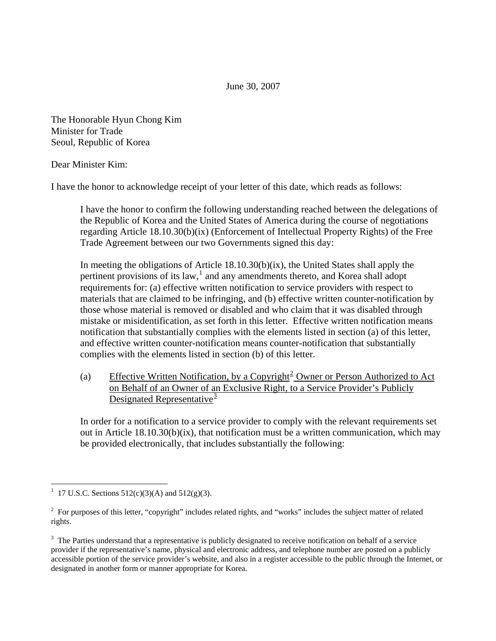June 30, 2007

The Honorable Hyun Chong Kim Minister for Trade Seoul, Republic of Korea

Dear Minister Kim:

I have the honor to acknowledge receipt of your letter of this date, which reads as follows:

I have the honor to confirm the following understanding reached between the delegations of the Republic of Korea and the United States of America during the course of negotiations regarding Article 18.10.30(b)(ix) (Enforcement of Intellectual Property Rights) of the Free Trade Agreement between our two Governments signed this day:

In meeting the obligations of Article 18.10.30(b)(ix), the United States shall apply the pertinent provisions of its law, $<sup>1</sup>$  $<sup>1</sup>$  $<sup>1</sup>$  and any amendments thereto, and Korea shall adopt</sup> requirements for: (a) effective written notification to service providers with respect to materials that are claimed to be infringing, and (b) effective written counter-notification by those whose material is removed or disabled and who claim that it was disabled through mistake or misidentification, as set forth in this letter. Effective written notification means notification that substantially complies with the elements listed in section (a) of this letter, and effective written counter-notification means counter-notification that substantially complies with the elements listed in section (b) of this letter.

(a) Effective Written Notification, by a Copyright<sup>[2](#page-3-1)</sup> Owner or Person Authorized to Act on Behalf of an Owner of an Exclusive Right, to a Service Provider's Publicly Designated Representative $\frac{3}{2}$  $\frac{3}{2}$  $\frac{3}{2}$ 

In order for a notification to a service provider to comply with the relevant requirements set out in Article 18.10.30(b)(ix), that notification must be a written communication, which may be provided electronically, that includes substantially the following:

 $\overline{a}$ 

<span id="page-3-0"></span><sup>&</sup>lt;sup>1</sup> 17 U.S.C. Sections 512(c)(3)(A) and 512(g)(3).

<span id="page-3-1"></span> $2^2$  For purposes of this letter, "copyright" includes related rights, and "works" includes the subject matter of related rights.

<span id="page-3-2"></span> $3$  The Parties understand that a representative is publicly designated to receive notification on behalf of a service provider if the representative's name, physical and electronic address, and telephone number are posted on a publicly accessible portion of the service provider's website, and also in a register accessible to the public through the Internet, or designated in another form or manner appropriate for Korea.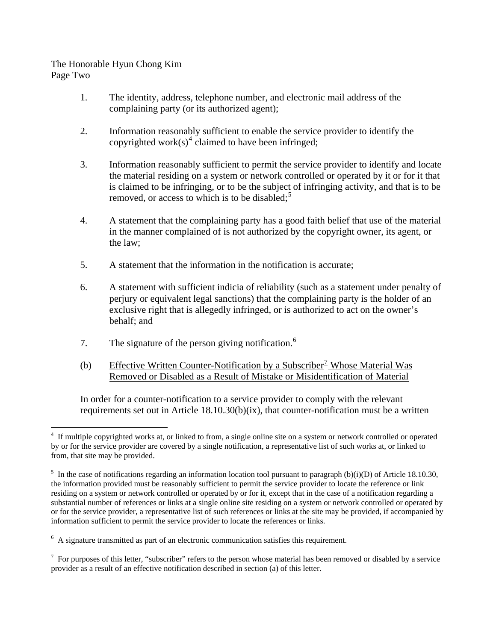## The Honorable Hyun Chong Kim Page Two

- 1. The identity, address, telephone number, and electronic mail address of the complaining party (or its authorized agent);
- 2. Information reasonably sufficient to enable the service provider to identify the copyrighted work(s)<sup>[4](#page-4-0)</sup> claimed to have been infringed;
- 3. Information reasonably sufficient to permit the service provider to identify and locate the material residing on a system or network controlled or operated by it or for it that is claimed to be infringing, or to be the subject of infringing activity, and that is to be removed, or access to which is to be disabled; $5$
- 4. A statement that the complaining party has a good faith belief that use of the material in the manner complained of is not authorized by the copyright owner, its agent, or the law;
- 5. A statement that the information in the notification is accurate;
- 6. A statement with sufficient indicia of reliability (such as a statement under penalty of perjury or equivalent legal sanctions) that the complaining party is the holder of an exclusive right that is allegedly infringed, or is authorized to act on the owner's behalf; and
- 7. The signature of the person giving notification.<sup>[6](#page-4-2)</sup>
- (b) Effective Written Counter-Notification by a Subscriber<sup>[7](#page-4-3)</sup> Whose Material Was Removed or Disabled as a Result of Mistake or Misidentification of Material

In order for a counter-notification to a service provider to comply with the relevant requirements set out in Article 18.10.30(b)(ix), that counter-notification must be a written

<span id="page-4-0"></span> $\overline{a}$ 4 If multiple copyrighted works at, or linked to from, a single online site on a system or network controlled or operated by or for the service provider are covered by a single notification, a representative list of such works at, or linked to from, that site may be provided.

<span id="page-4-1"></span><sup>&</sup>lt;sup>5</sup> In the case of notifications regarding an information location tool pursuant to paragraph (b)(i)(D) of Article 18.10.30, the information provided must be reasonably sufficient to permit the service provider to locate the reference or link residing on a system or network controlled or operated by or for it, except that in the case of a notification regarding a substantial number of references or links at a single online site residing on a system or network controlled or operated by or for the service provider, a representative list of such references or links at the site may be provided, if accompanied by information sufficient to permit the service provider to locate the references or links.

<span id="page-4-2"></span><sup>&</sup>lt;sup>6</sup> A signature transmitted as part of an electronic communication satisfies this requirement.

<span id="page-4-3"></span> $<sup>7</sup>$  For purposes of this letter, "subscriber" refers to the person whose material has been removed or disabled by a service</sup> provider as a result of an effective notification described in section (a) of this letter.